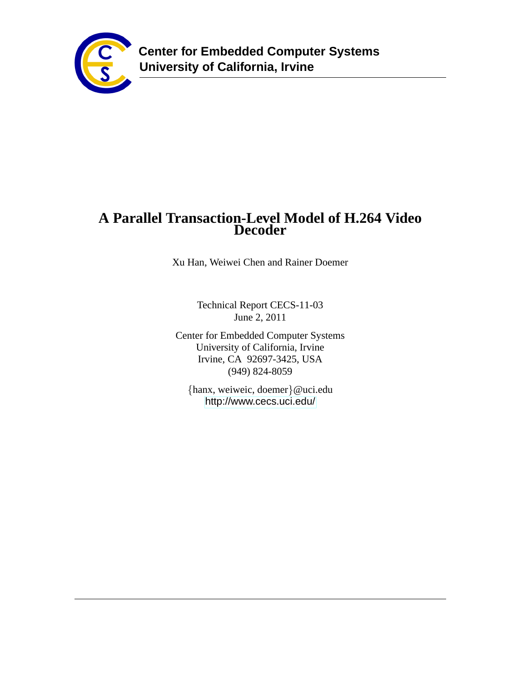

# **A Parallel Transaction-Level Model of H.264 Video Decoder**

Xu Han, Weiwei Chen and Rainer Doemer

Technical Report CECS-11-03 June 2, 2011

Center for Embedded Computer Systems University of California, Irvine Irvine, CA 92697-3425, USA (949) 824-8059

{hanx, weiweic, doemer}@uci.edu <http://www.cecs.uci.edu/>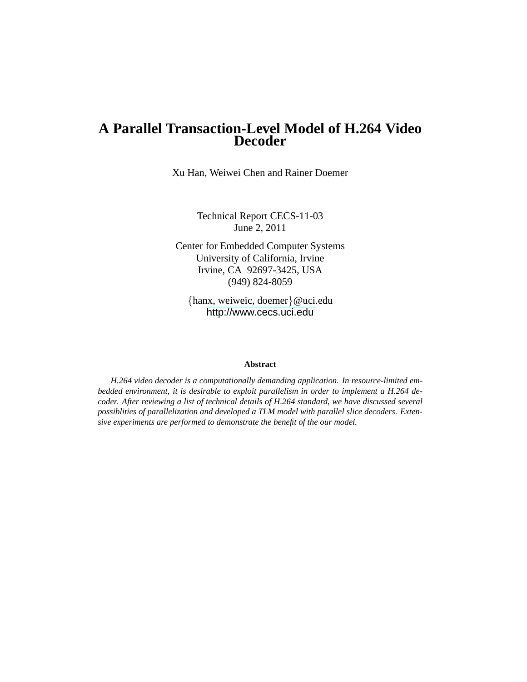# **A Parallel Transaction-Level Model of H.264 Video Decoder**

Xu Han, Weiwei Chen and Rainer Doemer

Technical Report CECS-11-03 June 2, 2011

Center for Embedded Computer Systems University of California, Irvine Irvine, CA 92697-3425, USA (949) 824-8059

{hanx, weiweic, doemer}@uci.edu <http://www.cecs.uci.edu>

#### **Abstract**

*H.264 video decoder is a computationally demanding application. In resource-limited embedded environment, it is desirable to exploit parallelism in order to implement a H.264 decoder. After reviewing a list of technical details of H.264 standard, we have discussed several possiblities of parallelization and developed a TLM model with parallel slice decoders. Extensive experiments are performed to demonstrate the benefit of the our model.*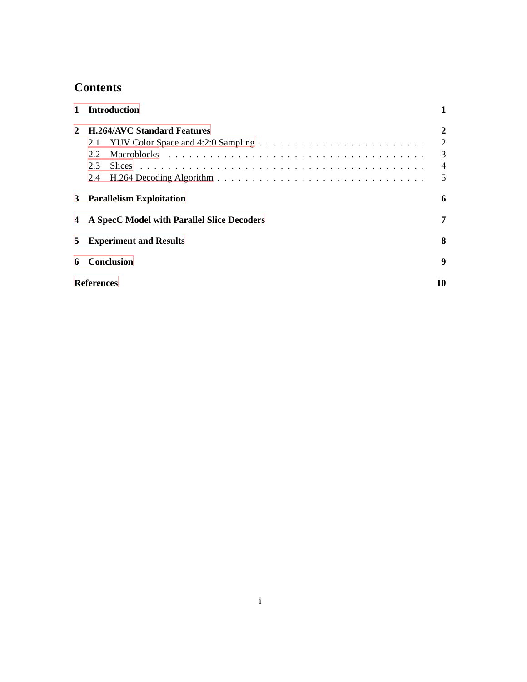# **Contents**

|               | <b>Introduction</b>                                     |                                     |
|---------------|---------------------------------------------------------|-------------------------------------|
| $\mathcal{L}$ | <b>H.264/AVC Standard Features</b><br>2.1<br>2.2<br>2.3 | 2<br>2<br>3<br>$\overline{4}$<br>.5 |
| 3             | <b>Parallelism Exploitation</b>                         | 6                                   |
| 4             | A SpecC Model with Parallel Slice Decoders              | 7                                   |
| 5.            | <b>Experiment and Results</b>                           | 8                                   |
| 6             | <b>Conclusion</b>                                       | 9                                   |
|               | <b>References</b>                                       | 10                                  |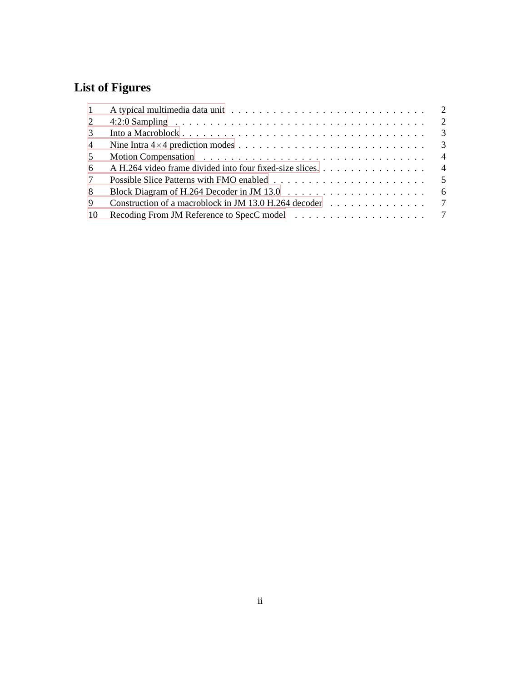# **List of Figures**

| $\mathbf{1}$   |                                                                                              |                |
|----------------|----------------------------------------------------------------------------------------------|----------------|
| 2              |                                                                                              |                |
| 3              |                                                                                              |                |
| $\overline{4}$ |                                                                                              |                |
| 5              |                                                                                              | $\overline{4}$ |
| 6              |                                                                                              |                |
| $7\phantom{0}$ |                                                                                              |                |
| 8              | Block Diagram of H.264 Decoder in JM 13.0 $\ldots \ldots \ldots \ldots \ldots \ldots \ldots$ | - 6            |
| 9              | Construction of a macroblock in JM 13.0 H.264 decoder $\dots \dots \dots \dots \dots$        |                |
| -10            |                                                                                              |                |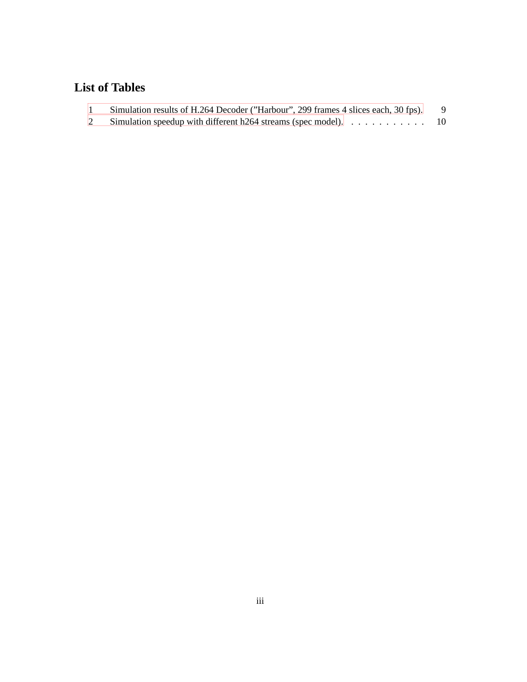# **List of Tables**

| Simulation results of H.264 Decoder ("Harbour", 299 frames 4 slices each, 30 fps). |  |
|------------------------------------------------------------------------------------|--|
|                                                                                    |  |

[2 Simulation speedup with different h264 streams \(spec model\).](#page-12-0) . . . . . . . . . . . 10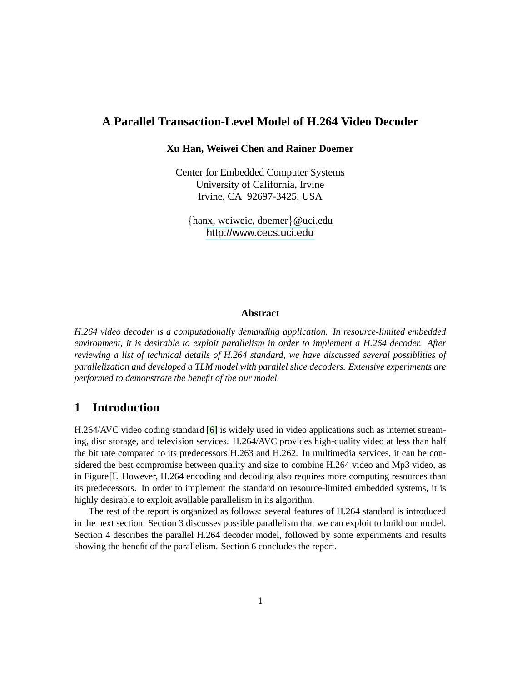### **A Parallel Transaction-Level Model of H.264 Video Decoder**

#### **Xu Han, Weiwei Chen and Rainer Doemer**

Center for Embedded Computer Systems University of California, Irvine Irvine, CA 92697-3425, USA

{hanx, weiweic, doemer}@uci.edu <http://www.cecs.uci.edu>

#### **Abstract**

*H.264 video decoder is a computationally demanding application. In resource-limited embedded environment, it is desirable to exploit parallelism in order to implement a H.264 decoder. After reviewing a list of technical details of H.264 standard, we have discussed several possiblities of parallelization and developed a TLM model with parallel slice decoders. Extensive experiments are performed to demonstrate the benefit of the our model.*

#### <span id="page-5-0"></span>**1 Introduction**

H.264/AVC video coding standard [\[6\]](#page-15-0) is widely used in video applications such as internet streaming, disc storage, and television services. H.264/AVC provides high-quality video at less than half the bit rate compared to its predecessors H.263 and H.262. In multimedia services, it can be considered the best compromise between quality and size to combine H.264 video and Mp3 video, as in Figure [1.](#page-5-0) However, H.264 encoding and decoding also requires more computing resources than its predecessors. In order to implement the standard on resource-limited embedded systems, it is highly desirable to exploit available parallelism in its algorithm.

The rest of the report is organized as follows: several features of H.264 standard is introduced in the next section. Section 3 discusses possible parallelism that we can exploit to build our model. Section 4 describes the parallel H.264 decoder model, followed by some experiments and results showing the benefit of the parallelism. Section 6 concludes the report.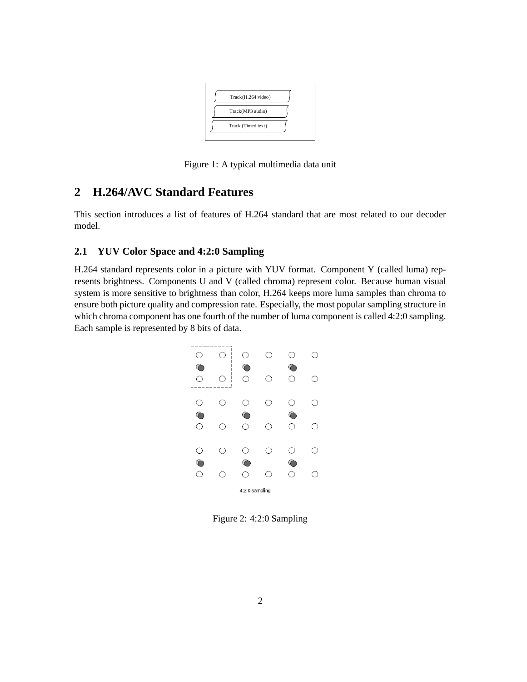

Figure 1: A typical multimedia data unit

## <span id="page-6-0"></span>**2 H.264/AVC Standard Features**

This section introduces a list of features of H.264 standard that are most related to our decoder model.

### <span id="page-6-1"></span>**2.1 YUV Color Space and 4:2:0 Sampling**

H.264 standard represents color in a picture with YUV format. Component Y (called luma) represents brightness. Components U and V (called chroma) represent color. Because human visual system is more sensitive to brightness than color, H.264 keeps more luma samples than chroma to ensure both picture quality and compression rate. Especially, the most popular sampling structure in which chroma component has one fourth of the number of luma component is called 4:2:0 sampling. Each sample is represented by 8 bits of data.



Figure 2: 4:2:0 Sampling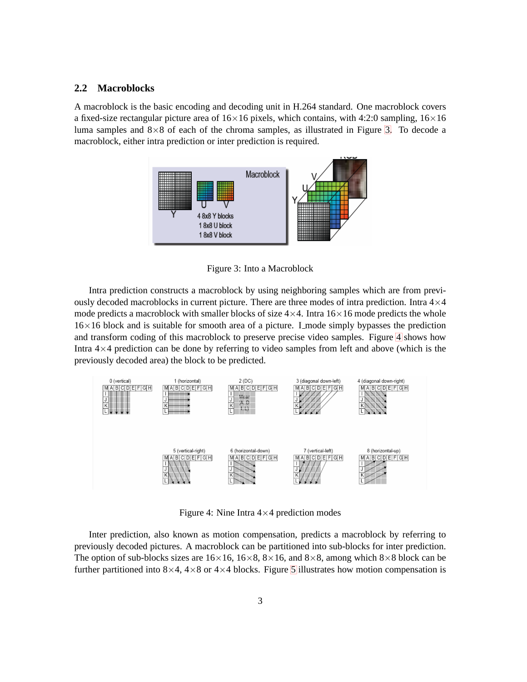#### <span id="page-7-0"></span>**2.2 Macroblocks**

A macroblock is the basic encoding and decoding unit in H.264 standard. One macroblock covers a fixed-size rectangular picture area of  $16\times16$  pixels, which contains, with 4:2:0 sampling,  $16\times16$ luma samples and  $8\times 8$  of each of the chroma samples, as illustrated in Figure [3.](#page-7-0) To decode a macroblock, either intra prediction or inter prediction is required.



Figure 3: Into a Macroblock

Intra prediction constructs a macroblock by using neighboring samples which are from previously decoded macroblocks in current picture. There are three modes of intra prediction. Intra  $4\times4$ mode predicts a macroblock with smaller blocks of size  $4\times4$ . Intra  $16\times16$  mode predicts the whole 16×16 block and is suitable for smooth area of a picture. I mode simply bypasses the prediction and transform coding of this macroblock to preserve precise video samples. Figure [4](#page-7-0) shows how Intra 4×4 prediction can be done by referring to video samples from left and above (which is the previously decoded area) the block to be predicted.



Figure 4: Nine Intra  $4 \times 4$  prediction modes

Inter prediction, also known as motion compensation, predicts a macroblock by referring to previously decoded pictures. A macroblock can be partitioned into sub-blocks for inter prediction. The option of sub-blocks sizes are  $16\times16$ ,  $16\times8$ ,  $8\times16$ , and  $8\times8$ , among which  $8\times8$  block can be further partitioned into  $8\times4$ ,  $4\times8$  or  $4\times4$  blocks. Figure [5](#page-7-0) illustrates how motion compensation is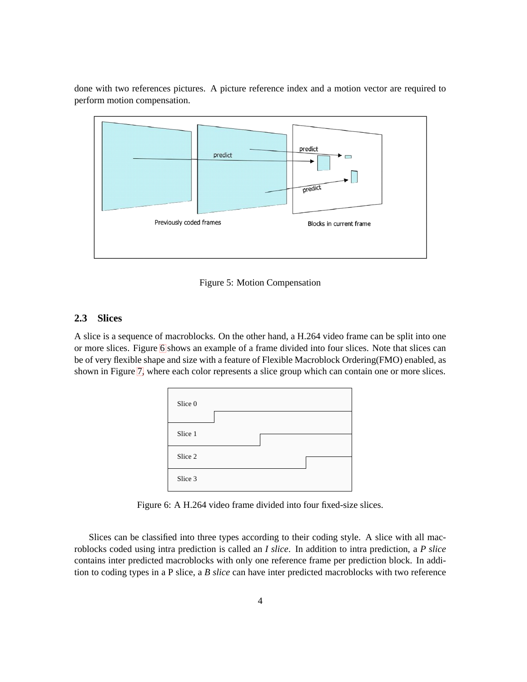done with two references pictures. A picture reference index and a motion vector are required to perform motion compensation.



Figure 5: Motion Compensation

#### <span id="page-8-0"></span>**2.3 Slices**

A slice is a sequence of macroblocks. On the other hand, a H.264 video frame can be split into one or more slices. Figure [6](#page-8-0) shows an example of a frame divided into four slices. Note that slices can be of very flexible shape and size with a feature of Flexible Macroblock Ordering(FMO) enabled, as shown in Figure [7,](#page-8-0) where each color represents a slice group which can contain one or more slices.



Figure 6: A H.264 video frame divided into four fixed-size slices.

Slices can be classified into three types according to their coding style. A slice with all macroblocks coded using intra prediction is called an *I slice*. In addition to intra prediction, a *P slice* contains inter predicted macroblocks with only one reference frame per prediction block. In addition to coding types in a P slice, a *B slice* can have inter predicted macroblocks with two reference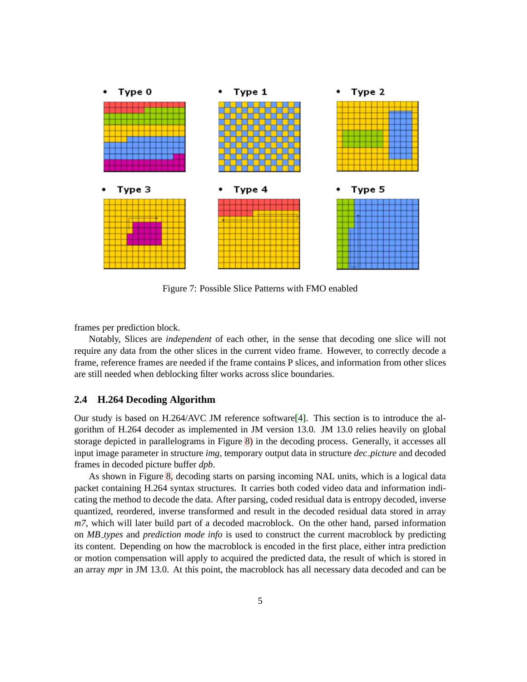

Figure 7: Possible Slice Patterns with FMO enabled

frames per prediction block.

Notably, Slices are *independent* of each other, in the sense that decoding one slice will not require any data from the other slices in the current video frame. However, to correctly decode a frame, reference frames are needed if the frame contains P slices, and information from other slices are still needed when deblocking filter works across slice boundaries.

#### <span id="page-9-0"></span>**2.4 H.264 Decoding Algorithm**

Our study is based on H.264/AVC JM reference software[\[4\]](#page-14-1). This section is to introduce the algorithm of H.264 decoder as implemented in JM version 13.0. JM 13.0 relies heavily on global storage depicted in parallelograms in Figure [8\)](#page-9-0) in the decoding process. Generally, it accesses all input image parameter in structure *img*, temporary output data in structure *dec picture* and decoded frames in decoded picture buffer *dpb*.

As shown in Figure [8,](#page-9-0) decoding starts on parsing incoming NAL units, which is a logical data packet containing H.264 syntax structures. It carries both coded video data and information indicating the method to decode the data. After parsing, coded residual data is entropy decoded, inverse quantized, reordered, inverse transformed and result in the decoded residual data stored in array *m7*, which will later build part of a decoded macroblock. On the other hand, parsed information on *MB types* and *prediction mode info* is used to construct the current macroblock by predicting its content. Depending on how the macroblock is encoded in the first place, either intra prediction or motion compensation will apply to acquired the predicted data, the result of which is stored in an array *mpr* in JM 13.0. At this point, the macroblock has all necessary data decoded and can be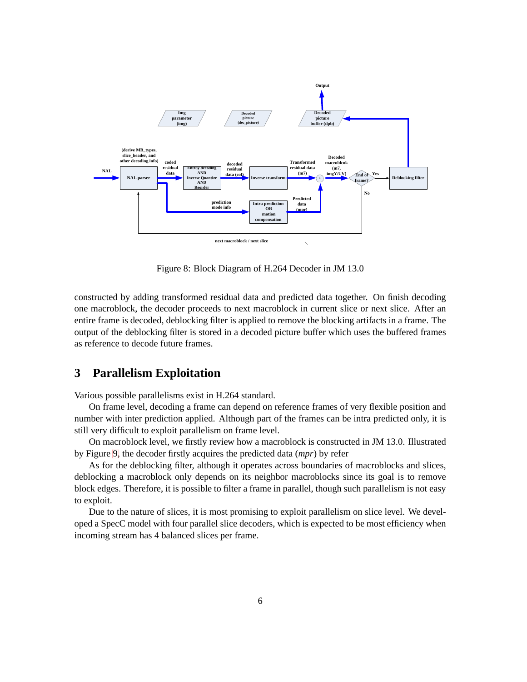

Figure 8: Block Diagram of H.264 Decoder in JM 13.0

constructed by adding transformed residual data and predicted data together. On finish decoding one macroblock, the decoder proceeds to next macroblock in current slice or next slice. After an entire frame is decoded, deblocking filter is applied to remove the blocking artifacts in a frame. The output of the deblocking filter is stored in a decoded picture buffer which uses the buffered frames as reference to decode future frames.

## <span id="page-10-0"></span>**3 Parallelism Exploitation**

Various possible parallelisms exist in H.264 standard.

On frame level, decoding a frame can depend on reference frames of very flexible position and number with inter prediction applied. Although part of the frames can be intra predicted only, it is still very difficult to exploit parallelism on frame level.

On macroblock level, we firstly review how a macroblock is constructed in JM 13.0. Illustrated by Figure [9,](#page-10-0) the decoder firstly acquires the predicted data (*mpr*) by refer

As for the deblocking filter, although it operates across boundaries of macroblocks and slices, deblocking a macroblock only depends on its neighbor macroblocks since its goal is to remove block edges. Therefore, it is possible to filter a frame in parallel, though such parallelism is not easy to exploit.

Due to the nature of slices, it is most promising to exploit parallelism on slice level. We developed a SpecC model with four parallel slice decoders, which is expected to be most efficiency when incoming stream has 4 balanced slices per frame.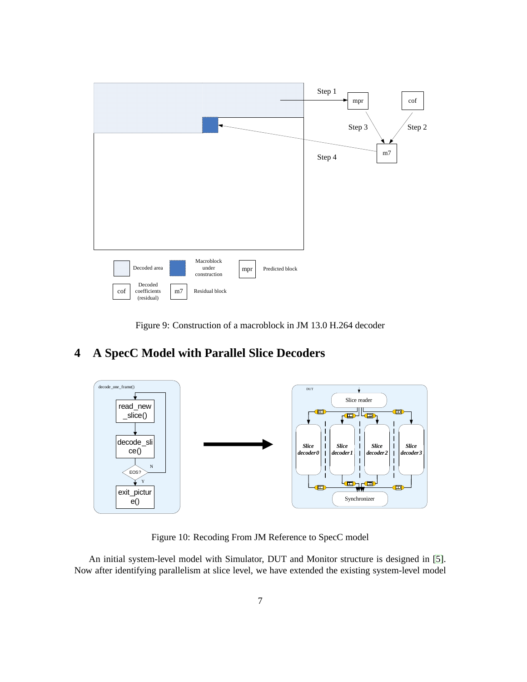

Figure 9: Construction of a macroblock in JM 13.0 H.264 decoder

# <span id="page-11-0"></span>**4 A SpecC Model with Parallel Slice Decoders**



Figure 10: Recoding From JM Reference to SpecC model

An initial system-level model with Simulator, DUT and Monitor structure is designed in [\[5\]](#page-14-2). Now after identifying parallelism at slice level, we have extended the existing system-level model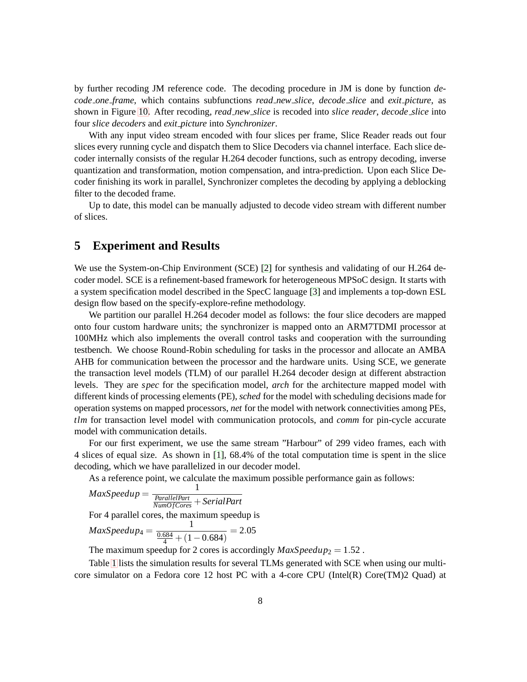by further recoding JM reference code. The decoding procedure in JM is done by function *decode one frame*, which contains subfunctions *read new slice*, *decode slice* and *exit picture*, as shown in Figure [10.](#page-11-0) After recoding, *read new slice* is recoded into *slice reader*, *decode slice* into four *slice decoders* and *exit picture* into *Synchronizer*.

With any input video stream encoded with four slices per frame, Slice Reader reads out four slices every running cycle and dispatch them to Slice Decoders via channel interface. Each slice decoder internally consists of the regular H.264 decoder functions, such as entropy decoding, inverse quantization and transformation, motion compensation, and intra-prediction. Upon each Slice Decoder finishing its work in parallel, Synchronizer completes the decoding by applying a deblocking filter to the decoded frame.

Up to date, this model can be manually adjusted to decode video stream with different number of slices.

### <span id="page-12-0"></span>**5 Experiment and Results**

We use the System-on-Chip Environment (SCE) [\[2\]](#page-14-3) for synthesis and validating of our H.264 decoder model. SCE is a refinement-based framework for heterogeneous MPSoC design. It starts with a system specification model described in the SpecC language [\[3\]](#page-14-4) and implements a top-down ESL design flow based on the specify-explore-refine methodology.

We partition our parallel H.264 decoder model as follows: the four slice decoders are mapped onto four custom hardware units; the synchronizer is mapped onto an ARM7TDMI processor at 100MHz which also implements the overall control tasks and cooperation with the surrounding testbench. We choose Round-Robin scheduling for tasks in the processor and allocate an AMBA AHB for communication between the processor and the hardware units. Using SCE, we generate the transaction level models (TLM) of our parallel H.264 decoder design at different abstraction levels. They are *spec* for the specification model, *arch* for the architecture mapped model with different kinds of processing elements (PE), *sched* for the model with scheduling decisions made for operation systems on mapped processors, *net* for the model with network connectivities among PEs, *tlm* for transaction level model with communication protocols, and *comm* for pin-cycle accurate model with communication details.

For our first experiment, we use the same stream "Harbour" of 299 video frames, each with 4 slices of equal size. As shown in [\[1\]](#page-14-5), 68.4% of the total computation time is spent in the slice decoding, which we have parallelized in our decoder model.

As a reference point, we calculate the maximum possible performance gain as follows:

$$
MaxSpeedup = \frac{1}{\frac{ParallelPart}{NumOfCores} + SerialPart}
$$
  
For 4 parallel cores, the maximum speedup is  

$$
MaxSpeedup_4 = \frac{1}{\frac{0.684}{4} + (1 - 0.684)} = 2.05
$$

The maximum speedup for 2 cores is accordingly  $MaxSpeedup_2 = 1.52$ .

Table [1](#page-12-0) lists the simulation results for several TLMs generated with SCE when using our multicore simulator on a Fedora core 12 host PC with a 4-core CPU (Intel(R) Core(TM)2 Quad) at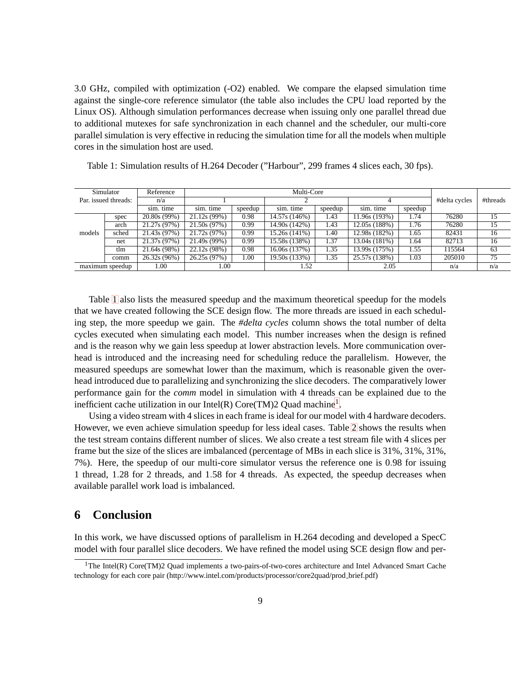3.0 GHz, compiled with optimization (-O2) enabled. We compare the elapsed simulation time against the single-core reference simulator (the table also includes the CPU load reported by the Linux OS). Although simulation performances decrease when issuing only one parallel thread due to additional mutexes for safe synchronization in each channel and the scheduler, our multi-core parallel simulation is very effective in reducing the simulation time for all the models when multiple cores in the simulation host are used.

| Simulator            |                 | Reference    | Multi-Core   |         |               |         |                            |         |               |          |
|----------------------|-----------------|--------------|--------------|---------|---------------|---------|----------------------------|---------|---------------|----------|
| Par. issued threads: |                 | n/a          |              |         |               |         |                            |         | #delta cycles | #threads |
|                      |                 | sim. time    | sim. time    | speedup | sim. time     | speedup | sim. time                  | speedup |               |          |
|                      | spec            | 20.80s (99%) | 21.12s (99%) | 0.98    | 14.57s (146%) | 1.43    | 11.96s (193%)              | 1.74    | 76280         | 15       |
|                      | arch            | 21.27s (97%) | 21.50s (97%) | 0.99    | 14.90s (142%) | 1.43    | 12.05s (188%)              | 1.76    | 76280         | 15       |
| models               | sched           | 21.43s (97%) | 21.72s (97%) | 0.99    | 15.26s(141%)  | 1.40    | 12.98s (182%)              | 1.65    | 82431         | 16       |
|                      | net             | 21.37s (97%) | 21.49s (99%) | 0.99    | 15.58s (138%) | 1.37    | 13.04s (181%)              | 1.64    | 82713         | 16       |
|                      | tlm             | 21.64s (98%) | 22.12s(98%)  | 0.98    | 16.06s (137%) | 1.35    | 13.99s (175%)              | 1.55    | 115564        | 63       |
|                      | comm            | 26.32s (96%) | 26.25s (97%) | 1.00    | 19.50s (133%) | 1.35    | $\overline{25.57s}$ (138%) | 1.03    | 205010        | 75       |
|                      | maximum speedup | 1.00         | 1.00         |         | 1.52          |         | 2.05                       |         | n/a           | n/a      |

Table 1: Simulation results of H.264 Decoder ("Harbour", 299 frames 4 slices each, 30 fps).

Table [1](#page-12-0) also lists the measured speedup and the maximum theoretical speedup for the models that we have created following the SCE design flow. The more threads are issued in each scheduling step, the more speedup we gain. The *#delta cycles* column shows the total number of delta cycles executed when simulating each model. This number increases when the design is refined and is the reason why we gain less speedup at lower abstraction levels. More communication overhead is introduced and the increasing need for scheduling reduce the parallelism. However, the measured speedups are somewhat lower than the maximum, which is reasonable given the overhead introduced due to parallelizing and synchronizing the slice decoders. The comparatively lower performance gain for the *comm* model in simulation with 4 threads can be explained due to the inefficient cache utilization in our Intel(R) Core(TM)2 Quad machine<sup>[1](#page-13-1)</sup>.

Using a video stream with 4 slices in each frame is ideal for our model with 4 hardware decoders. However, we even achieve simulation speedup for less ideal cases. Table [2](#page-12-0) shows the results when the test stream contains different number of slices. We also create a test stream file with 4 slices per frame but the size of the slices are imbalanced (percentage of MBs in each slice is 31%, 31%, 31%, 7%). Here, the speedup of our multi-core simulator versus the reference one is 0.98 for issuing 1 thread, 1.28 for 2 threads, and 1.58 for 4 threads. As expected, the speedup decreases when available parallel work load is imbalanced.

## <span id="page-13-0"></span>**6 Conclusion**

In this work, we have discussed options of parallelism in H.264 decoding and developed a SpecC model with four parallel slice decoders. We have refined the model using SCE design flow and per-

<span id="page-13-1"></span><sup>&</sup>lt;sup>1</sup>The Intel(R) Core(TM)2 Quad implements a two-pairs-of-two-cores architecture and Intel Advanced Smart Cache technology for each core pair (http://www.intel.com/products/processor/core2quad/prod brief.pdf)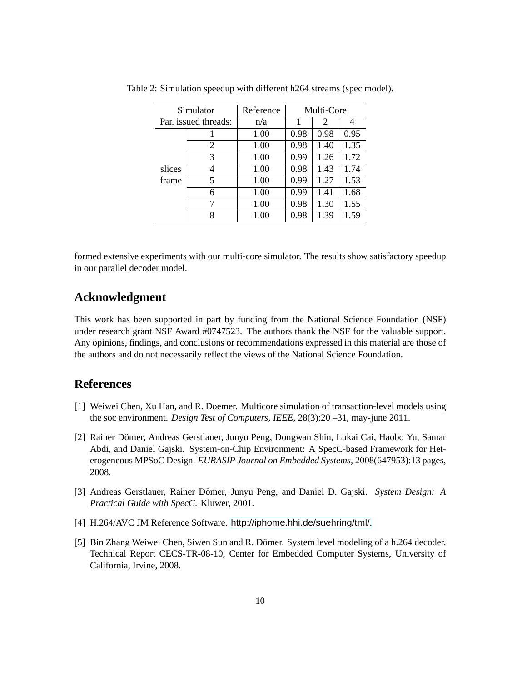| Simulator |                      | Reference | Multi-Core |      |      |
|-----------|----------------------|-----------|------------|------|------|
|           | Par. issued threads: | n/a       |            | 2    |      |
|           |                      | 1.00      | 0.98       | 0.98 | 0.95 |
|           | 2                    | 1.00      | 0.98       | 1.40 | 1.35 |
|           | 3                    | 1.00      | 0.99       | 1.26 | 1.72 |
| slices    | 4                    | 1.00      | 0.98       | 1.43 | 1.74 |
| frame     | 5                    | 1.00      | 0.99       | 1.27 | 1.53 |
|           | 6                    | 1.00      | 0.99       | 1.41 | 1.68 |
|           | 7                    | 1.00      | 0.98       | 1.30 | 1.55 |
|           | 8                    | 1.00      | 0.98       | 1.39 | 1.59 |

Table 2: Simulation speedup with different h264 streams (spec model).

formed extensive experiments with our multi-core simulator. The results show satisfactory speedup in our parallel decoder model.

## **Acknowledgment**

This work has been supported in part by funding from the National Science Foundation (NSF) under research grant NSF Award #0747523. The authors thank the NSF for the valuable support. Any opinions, findings, and conclusions or recommendations expressed in this material are those of the authors and do not necessarily reflect the views of the National Science Foundation.

## <span id="page-14-5"></span><span id="page-14-0"></span>**References**

- [1] Weiwei Chen, Xu Han, and R. Doemer. Multicore simulation of transaction-level models using the soc environment. *Design Test of Computers, IEEE*, 28(3):20 –31, may-june 2011.
- <span id="page-14-3"></span>[2] Rainer Dömer, Andreas Gerstlauer, Junyu Peng, Dongwan Shin, Lukai Cai, Haobo Yu, Samar Abdi, and Daniel Gajski. System-on-Chip Environment: A SpecC-based Framework for Heterogeneous MPSoC Design. *EURASIP Journal on Embedded Systems*, 2008(647953):13 pages, 2008.
- <span id="page-14-4"></span>[3] Andreas Gerstlauer, Rainer Domer, Junyu Peng, and Daniel D. Gajski. ¨ *System Design: A Practical Guide with SpecC*. Kluwer, 2001.
- <span id="page-14-2"></span><span id="page-14-1"></span>[4] H.264/AVC JM Reference Software. <http://iphome.hhi.de/suehring/tml/>.
- [5] Bin Zhang Weiwei Chen, Siwen Sun and R. Dömer. System level modeling of a h.264 decoder. Technical Report CECS-TR-08-10, Center for Embedded Computer Systems, University of California, Irvine, 2008.